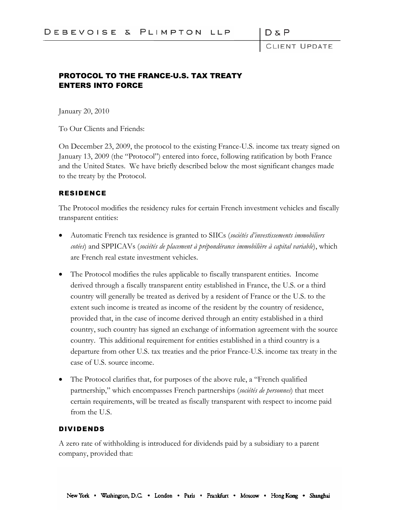DδP

CLIENT UPDATE

# PROTOCOL TO THE FRANCE-U.S. TAX TREATY ENTERS INTO FORCE

January 20, 2010

To Our Clients and Friends:

On December 23, 2009, the protocol to the existing France-U.S. income tax treaty signed on January 13, 2009 (the "Protocol") entered into force, following ratification by both France and the United States. We have briefly described below the most significant changes made to the treaty by the Protocol.

### RESIDENCE

The Protocol modifies the residency rules for certain French investment vehicles and fiscally transparent entities:

- Automatic French tax residence is granted to SIICs (*sociétés d'investissements immobiliers cotées*) and SPPICAVs (*sociétés de placement à prépondérance immobilière à capital variable*), which are French real estate investment vehicles.
- The Protocol modifies the rules applicable to fiscally transparent entities. Income derived through a fiscally transparent entity established in France, the U.S. or a third country will generally be treated as derived by a resident of France or the U.S. to the extent such income is treated as income of the resident by the country of residence, provided that, in the case of income derived through an entity established in a third country, such country has signed an exchange of information agreement with the source country. This additional requirement for entities established in a third country is a departure from other U.S. tax treaties and the prior France-U.S. income tax treaty in the case of U.S. source income.
- The Protocol clarifies that, for purposes of the above rule, a "French qualified partnership," which encompasses French partnerships (*sociétés de personnes*) that meet certain requirements, will be treated as fiscally transparent with respect to income paid from the U.S.

### DIVIDENDS

A zero rate of withholding is introduced for dividends paid by a subsidiary to a parent company, provided that: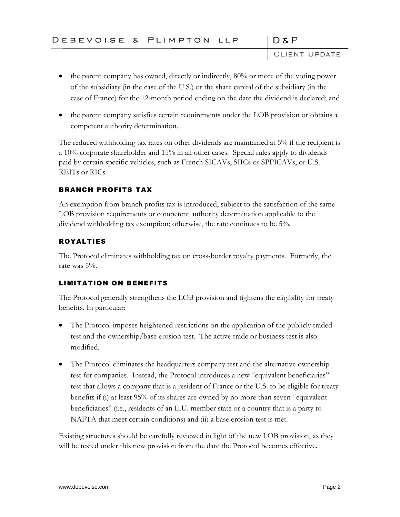CLIENT UPDATE

 $D & P$ 

- the parent company has owned, directly or indirectly, 80% or more of the voting power of the subsidiary (in the case of the U.S.) or the share capital of the subsidiary (in the case of France) for the 12-month period ending on the date the dividend is declared; and
- the parent company satisfies certain requirements under the LOB provision or obtains a competent authority determination.

The reduced withholding tax rates on other dividends are maintained at 5% if the recipient is a 10% corporate shareholder and 15% in all other cases. Special rules apply to dividends paid by certain specific vehicles, such as French SICAVs, SIICs or SPPICAVs, or U.S. REITs or RICs.

## BRANCH PROFITS TAX

An exemption from branch profits tax is introduced, subject to the satisfaction of the same LOB provision requirements or competent authority determination applicable to the dividend withholding tax exemption; otherwise, the rate continues to be 5%.

## ROYALTIES

The Protocol eliminates withholding tax on cross-border royalty payments. Formerly, the rate was 5%.

# LIMITATION ON BENEFITS

The Protocol generally strengthens the LOB provision and tightens the eligibility for treaty benefits. In particular:

- The Protocol imposes heightened restrictions on the application of the publicly traded test and the ownership/base erosion test. The active trade or business test is also modified.
- The Protocol eliminates the headquarters company test and the alternative ownership test for companies. Instead, the Protocol introduces a new "equivalent beneficiaries" test that allows a company that is a resident of France or the U.S. to be eligible for treaty benefits if (i) at least 95% of its shares are owned by no more than seven "equivalent beneficiaries" (i.e., residents of an E.U. member state or a country that is a party to NAFTA that meet certain conditions) and (ii) a base erosion test is met.

Existing structures should be carefully reviewed in light of the new LOB provision, as they will be tested under this new provision from the date the Protocol becomes effective.